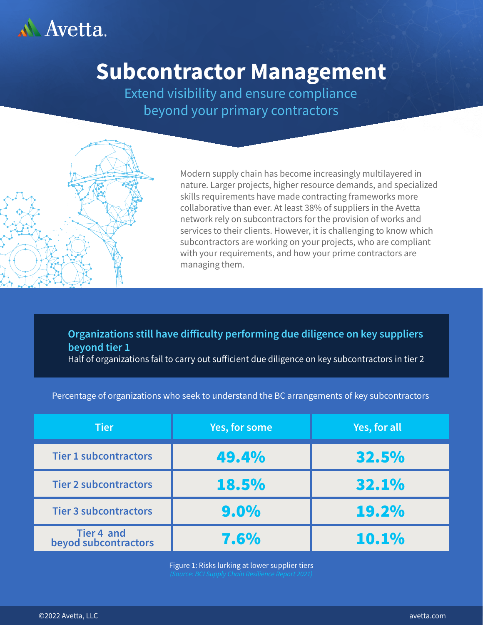

# **Subcontractor Management**

Extend visibility and ensure compliance beyond your primary contractors



Modern supply chain has become increasingly multilayered in nature. Larger projects, higher resource demands, and specialized skills requirements have made contracting frameworks more collaborative than ever. At least 38% of suppliers in the Avetta network rely on subcontractors for the provision of works and services to their clients. However, it is challenging to know which subcontractors are working on your projects, who are compliant with your requirements, and how your prime contractors are managing them.

### **Organizations still have difficulty performing due diligence on key suppliers beyond tier 1**

Half of organizations fail to carry out sufficient due diligence on key subcontractors in tier 2

|  |  | Percentage of organizations who seek to understand the BC arrangements of key subcontractors |
|--|--|----------------------------------------------------------------------------------------------|
|  |  |                                                                                              |

| <b>Tier</b>                        | Yes, for some | Yes, for all |
|------------------------------------|---------------|--------------|
| <b>Tier 1 subcontractors</b>       | 49.4%         | 32.5%        |
| <b>Tier 2 subcontractors</b>       | <b>18.5%</b>  | 32.1%        |
| <b>Tier 3 subcontractors</b>       | $9.0\%$       | 19.2%        |
| Tier 4 and<br>beyod subcontractors | 7.6%          | 10.1%        |

Figure 1: Risks lurking at lower supplier tiers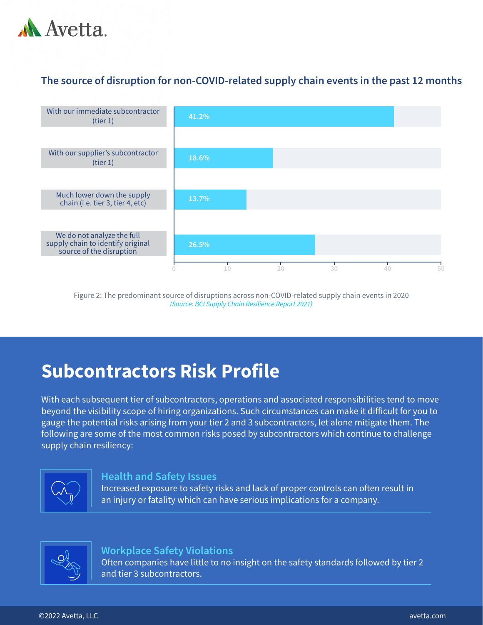

### **The source of disruption for non-COVID-related supply chain events in the past 12 months**



Figure 2: The predominant source of disruptions across non-COVID-related supply chain events in 2020 *(Source: BCI Supply Chain Resilience Report 2021)*

# **Subcontractors Risk Profile**

With each subsequent tier of subcontractors, operations and associated responsibilities tend to move beyond the visibility scope of hiring organizations. Such circumstances can make it difficult for you to gauge the potential risks arising from your tier 2 and 3 subcontractors, let alone mitigate them. The following are some of the most common risks posed by subcontractors which continue to challenge supply chain resiliency:



#### **Health and Safety Issues**

Increased exposure to safety risks and lack of proper controls can often result in an injury or fatality which can have serious implications for a company.



#### **Workplace Safety Violations**

Often companies have little to no insight on the safety standards followed by tier 2 and tier 3 subcontractors.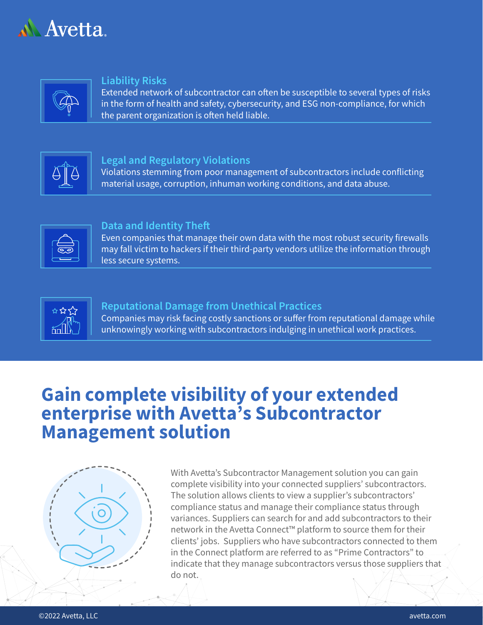



#### **Liability Risks**

Extended network of subcontractor can often be susceptible to several types of risks in the form of health and safety, cybersecurity, and ESG non-compliance, for which the parent organization is often held liable.



#### **Legal and Regulatory Violations**

Violations stemming from poor management of subcontractors include conflicting material usage, corruption, inhuman working conditions, and data abuse.



#### **Data and Identity The**

Even companies that manage their own data with the most robust security firewalls may fall victim to hackers if their third-party vendors utilize the information through less secure systems.



#### **Reputational Damage from Unethical Practices**

Companies may risk facing costly sanctions or suffer from reputational damage while unknowingly working with subcontractors indulging in unethical work practices.

# **Gain complete visibility of your extended enterprise with Avetta's Subcontractor Management solution**



With Avetta's Subcontractor Management solution you can gain complete visibility into your connected suppliers' subcontractors. The solution allows clients to view a supplier's subcontractors' compliance status and manage their compliance status through variances. Suppliers can search for and add subcontractors to their network in the Avetta Connect™ platform to source them for their clients' jobs. Suppliers who have subcontractors connected to them in the Connect platform are referred to as "Prime Contractors" to indicate that they manage subcontractors versus those suppliers that do not.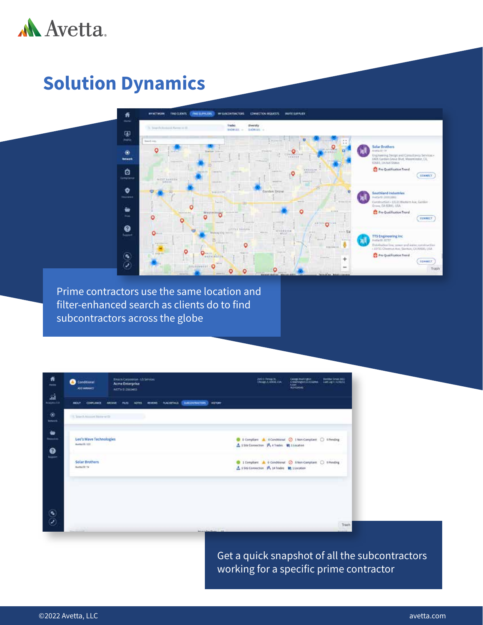

# **Solution Dynamics**



Prime contractors use the same location and filter-enhanced search as clients do to find subcontractors across the globe

| 养<br>mes.                          | Illinaca Carporation - LtS Services<br>Conditional<br>⋒<br>Acme Enterprise<br><b>ASS VAILANCE</b><br>ARTWE-2014/01                                 | <b>BELLINGEN</b><br><b>Contractor</b><br>Hereby Shop 2002<br>time.<br><b>RUMLINGES</b>                            |
|------------------------------------|----------------------------------------------------------------------------------------------------------------------------------------------------|-------------------------------------------------------------------------------------------------------------------|
| áÌ<br>Malytric 2.8                 | <b>ELECTRICITORS</b><br>HETCH<br><b><i>RACIDITALS</i></b><br><b>AEVENT</b><br>HOOST<br><b>FLTL</b><br>actra<br><b>COMPLIANCE</b><br><b>ARCHIVE</b> |                                                                                                                   |
| $^{\circ}$<br><b>Salured</b>       | The children National III                                                                                                                          |                                                                                                                   |
| ۰<br><b>Repairing</b><br>$\bullet$ | Leo's Wave Technologies<br>Avenuelli, 122<br>- 33                                                                                                  | C II Compliant A Conditional C 1 Non-Compliant C 1 Pending<br>A 15te Connection A 4 Trades. In 110caton           |
| <b>Support</b>                     | Solar Brothers<br>Avenuello Tel                                                                                                                    | a tutorist<br>  Dimplant & O Conditional @ ENon-Complant @ EPinding<br>A 15th Connection M 14 Trades M 11 ocation |
|                                    |                                                                                                                                                    |                                                                                                                   |
| ە                                  | announced in                                                                                                                                       | <b>Trash</b>                                                                                                      |

Get a quick snapshot of all the subcontractors working for a specific prime contractor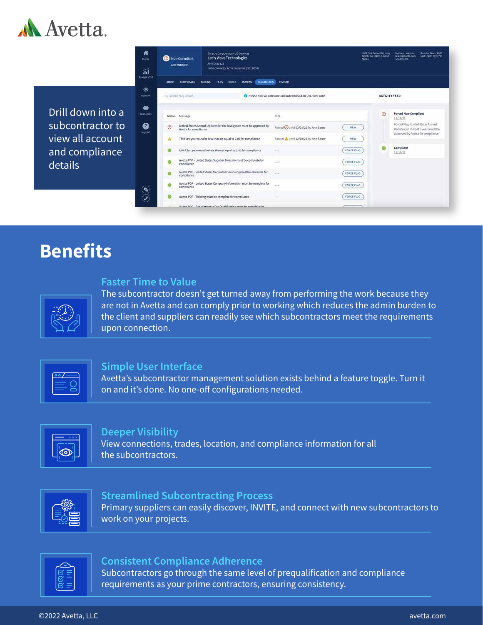

Drill down into a subcontractor to view all account and compliance details

|               | <b>Non-Compliant</b><br><b>ADO VARIANCE</b> | <b>Binacle Corporation - US Services</b><br>Leo's Wave Technologies<br>AVETTA ID: 123<br>Prime contractor: Acree Enterprise (250134053) |                                                             | <b>States</b>     | 4089 East Conant St, Long<br>Beach, CA, 90806, United | Member Since: 2009<br>Mohsen Hashemi<br>testen@averts.com<br>Last Login: 11/02/21<br>5624201000                 |
|---------------|---------------------------------------------|-----------------------------------------------------------------------------------------------------------------------------------------|-------------------------------------------------------------|-------------------|-------------------------------------------------------|-----------------------------------------------------------------------------------------------------------------|
| <b>ABOUT</b>  | <b>COMPLIANCE</b>                           | <b>FLAG DETAILS</b><br><b>NOTES</b><br><b>REVIEWS</b><br><b>ARCHIVE</b><br><b>FILES</b>                                                 | <b>HISTORY</b>                                              |                   |                                                       |                                                                                                                 |
|               | Q Search Flag Details                       |                                                                                                                                         | Please note all dates are calculated based on UTC time zone |                   | <b>ACTIVITY FEED</b>                                  |                                                                                                                 |
| <b>Status</b> | Message                                     |                                                                                                                                         | info:                                                       |                   | Ø                                                     | <b>Forced Non-Compliant</b><br>11/10/21                                                                         |
| Ø             | Avetta for compliance                       | United States Annual Updates for the last 3 years must be approved by                                                                   | Forced Ountil 03/31/22 by Ann Bauer.                        | <b>VIEW</b>       |                                                       | Forced Flag: United States Annual<br>Updates for the last 3 years must be<br>approved by Avetta for compliance. |
| Α             |                                             | TRIR last year must be less than or equal to 2.00 for compliance                                                                        | Forced A until 12/04/21 by Ann Bauer                        | VIEW.             |                                                       |                                                                                                                 |
|               |                                             | LWCR last year must be less than or equal to 1.00 for compliance                                                                        | 1.01                                                        | FORCE FLAG        |                                                       | Compliant<br>11/10/21                                                                                           |
|               | compliance.                                 | Avetta PQF - United States Supplier Diversity must be complete for                                                                      | 62                                                          | FORCE FLAG        |                                                       |                                                                                                                 |
|               | compliance                                  | Avetta PQF - United States Contractor Licensing must be complete for                                                                    | $-22$                                                       | FORCE FLAG:       |                                                       |                                                                                                                 |
|               | compliance                                  | Avetta PQF - United States Company Information must be complete for                                                                     | 1989                                                        | <b>FORCE FLAG</b> |                                                       |                                                                                                                 |
|               |                                             | Avetta PQF - Training must be complete for compliance                                                                                   | <b>Side</b>                                                 | FORCE FLAG        |                                                       |                                                                                                                 |
|               |                                             | Avetta POF - Subcontractor Pre-Qualification must be complete for                                                                       |                                                             |                   |                                                       |                                                                                                                 |

# **Benefits**

#### **Faster Time to Value**

The subcontractor doesn't get turned away from performing the work because they are not in Avetta and can comply prior to working which reduces the admin burden to the client and suppliers can readily see which subcontractors meet the requirements upon connection.

| $\overline{\circ}$ |
|--------------------|
|                    |
|                    |
|                    |

#### **Simple User Interface**

Avetta's subcontractor management solution exists behind a feature toggle. Turn it on and it's done. No one-off configurations needed.



#### **Deeper Visibility**

View connections, trades, location, and compliance information for all the subcontractors.



#### **Streamlined Subcontracting Process**

Primary suppliers can easily discover, INVITE, and connect with new subcontractors to work on your projects.



#### **Consistent Compliance Adherence**

Subcontractors go through the same level of prequalification and compliance requirements as your prime contractors, ensuring consistency.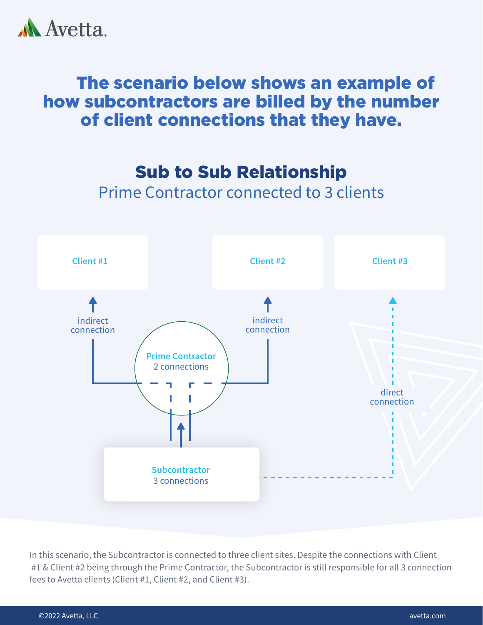

# The scenario below shows an example of how subcontractors are billed by the number of client connections that they have.

Sub to Sub Relationship

Prime Contractor connected to 3 clients



In this scenario, the Subcontractor is connected to three client sites. Despite the connections with Client #1 & Client #2 being through the Prime Contractor, the Subcontractor is still responsible for all 3 connection fees to Avetta clients (Client #1, Client #2, and Client #3).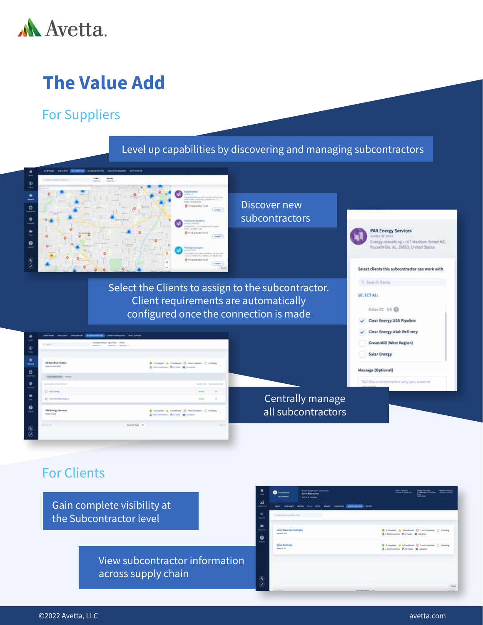

# **The Value Add**

### For Suppliers

### Level up capabilities by discovering and managing subcontractors



Select the Clients to assign to the subcontractor. Client requirements are automatically configured once the connection is made

| <b>State</b>                                                      | transferred dates these facts. Factor<br>funding in 1. military or resonance to |                                                                                            |
|-------------------------------------------------------------------|---------------------------------------------------------------------------------|--------------------------------------------------------------------------------------------|
| <b>U Sackfore Testers</b><br>Asking account                       |                                                                                 | 9. visated & classical C chattagged C classic<br>A ventimental Museum Mittendeer           |
| THE PERSONAL PROPERTY AND INCOME.                                 |                                                                                 |                                                                                            |
| the property company like land-                                   |                                                                                 | construction of the decade land-                                                           |
| C boxtown<br>ange                                                 |                                                                                 | 44.94<br>$\equiv$                                                                          |
| Et Vaurdrichkerhand                                               |                                                                                 | $\alpha$ .<br><b>STAR</b>                                                                  |
| <b>FRE Energy Services</b><br>SHEEDED TO THE<br><b>CONTRACTOR</b> |                                                                                 | B Hinderl A Hinders D Herington C Hinda<br>A tendence Publishe Millenger<br><b>William</b> |
| Toyota and                                                        | seateher of                                                                     | <b>Sentence</b>                                                                            |

### Centrally manage all subcontractors

### For Clients

Gain complete visibility at the Subcontractor level

> View subcontractor information across supply chain



**PAR Energy Services** 

Energy consulting + 107 Nadison Street NE,<br>Russellville, AL, 35653, United States

Select clients this subcontractor can work with

Avidta ID 3432

Q. Search Name **SELECTALL** 

Solar EC - US @ Clear Energy USA Pipeline Clear Energy Utah Refinery Green Mill (West Region)

Solar Energy

Message (Optional)

Tel: the subcontractor why you want to